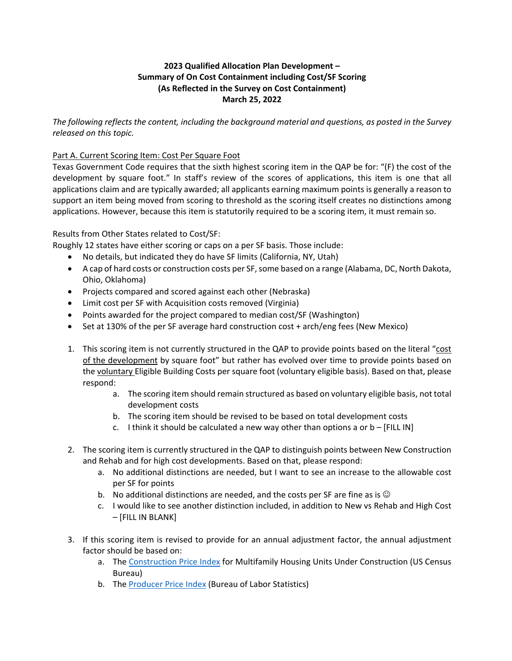## **2023 Qualified Allocation Plan Development – Summary of On Cost Containment including Cost/SF Scoring (As Reflected in the Survey on Cost Containment) March 25, 2022**

*The following reflects the content, including the background material and questions, as posted in the Survey released on this topic.* 

## Part A. Current Scoring Item: Cost Per Square Foot

Texas Government Code requires that the sixth highest scoring item in the QAP be for: "(F) the cost of the development by square foot." In staff's review of the scores of applications, this item is one that all applications claim and are typically awarded; all applicants earning maximum points is generally a reason to support an item being moved from scoring to threshold as the scoring itself creates no distinctions among applications. However, because this item is statutorily required to be a scoring item, it must remain so.

Results from Other States related to Cost/SF:

Roughly 12 states have either scoring or caps on a per SF basis. Those include:

- No details, but indicated they do have SF limits (California, NY, Utah)
- A cap of hard costs or construction costs per SF, some based on a range (Alabama, DC, North Dakota, Ohio, Oklahoma)
- Projects compared and scored against each other (Nebraska)
- Limit cost per SF with Acquisition costs removed (Virginia)
- Points awarded for the project compared to median cost/SF (Washington)
- Set at 130% of the per SF average hard construction cost + arch/eng fees (New Mexico)
- 1. This scoring item is not currently structured in the QAP to provide points based on the literal "cost of the development by square foot" but rather has evolved over time to provide points based on the voluntary Eligible Building Costs per square foot (voluntary eligible basis). Based on that, please respond:
	- a. The scoring item should remain structured as based on voluntary eligible basis, not total development costs
	- b. The scoring item should be revised to be based on total development costs
	- c. I think it should be calculated a new way other than options a or  $b [FILL IN]$
- 2. The scoring item is currently structured in the QAP to distinguish points between New Construction and Rehab and for high cost developments. Based on that, please respond:
	- a. No additional distinctions are needed, but I want to see an increase to the allowable cost per SF for points
	- b. No additional distinctions are needed, and the costs per SF are fine as is  $\odot$
	- c. I would like to see another distinction included, in addition to New vs Rehab and High Cost – [FILL IN BLANK]
- 3. If this scoring item is revised to provide for an annual adjustment factor, the annual adjustment factor should be based on:
	- a. The Construction Price Index for Multifamily Housing Units Under Construction (US Census Bureau)
	- b. The Producer Price Index (Bureau of Labor Statistics)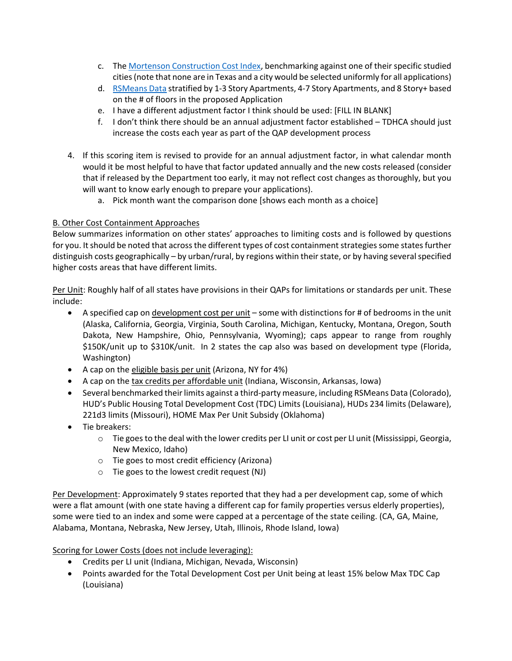- c. The Mortenson Construction Cost Index, benchmarking against one of their specific studied cities(note that none are in Texas and a city would be selected uniformly for all applications)
- d. RSMeans Data stratified by 1‐3 Story Apartments, 4‐7 Story Apartments, and 8 Story+ based on the # of floors in the proposed Application
- e. I have a different adjustment factor I think should be used: [FILL IN BLANK]
- f. I don't think there should be an annual adjustment factor established TDHCA should just increase the costs each year as part of the QAP development process
- 4. If this scoring item is revised to provide for an annual adjustment factor, in what calendar month would it be most helpful to have that factor updated annually and the new costs released (consider that if released by the Department too early, it may not reflect cost changes as thoroughly, but you will want to know early enough to prepare your applications).
	- a. Pick month want the comparison done [shows each month as a choice]

## B. Other Cost Containment Approaches

Below summarizes information on other states' approaches to limiting costs and is followed by questions for you. It should be noted that across the different types of cost containment strategies some states further distinguish costs geographically – by urban/rural, by regions within their state, or by having several specified higher costs areas that have different limits.

Per Unit: Roughly half of all states have provisions in their QAPs for limitations or standards per unit. These include:

- A specified cap on development cost per unit some with distinctions for # of bedrooms in the unit (Alaska, California, Georgia, Virginia, South Carolina, Michigan, Kentucky, Montana, Oregon, South Dakota, New Hampshire, Ohio, Pennsylvania, Wyoming); caps appear to range from roughly \$150K/unit up to \$310K/unit. In 2 states the cap also was based on development type (Florida, Washington)
- A cap on the eligible basis per unit (Arizona, NY for 4%)
- A cap on the tax credits per affordable unit (Indiana, Wisconsin, Arkansas, Iowa)
- Several benchmarked their limits against a third-party measure, including RSMeans Data (Colorado), HUD's Public Housing Total Development Cost (TDC) Limits (Louisiana), HUDs 234 limits (Delaware), 221d3 limits (Missouri), HOME Max Per Unit Subsidy (Oklahoma)
- Tie breakers:
	- $\circ$  Tie goes to the deal with the lower credits per LI unit or cost per LI unit (Mississippi, Georgia, New Mexico, Idaho)
	- o Tie goes to most credit efficiency (Arizona)
	- o Tie goes to the lowest credit request (NJ)

Per Development: Approximately 9 states reported that they had a per development cap, some of which were a flat amount (with one state having a different cap for family properties versus elderly properties), some were tied to an index and some were capped at a percentage of the state ceiling. (CA, GA, Maine, Alabama, Montana, Nebraska, New Jersey, Utah, Illinois, Rhode Island, Iowa)

Scoring for Lower Costs (does not include leveraging):

- Credits per LI unit (Indiana, Michigan, Nevada, Wisconsin)
- Points awarded for the Total Development Cost per Unit being at least 15% below Max TDC Cap (Louisiana)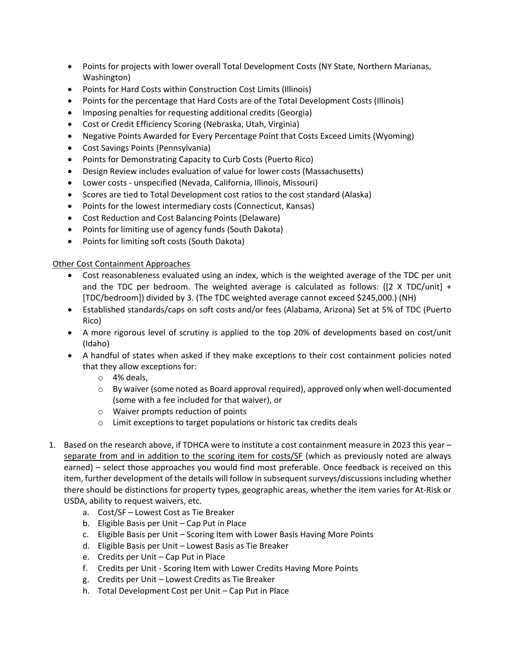- Points for projects with lower overall Total Development Costs (NY State, Northern Marianas, Washington)
- Points for Hard Costs within Construction Cost Limits (Illinois)
- Points for the percentage that Hard Costs are of the Total Development Costs (Illinois)
- Imposing penalties for requesting additional credits (Georgia)
- Cost or Credit Efficiency Scoring (Nebraska, Utah, Virginia)
- Negative Points Awarded for Every Percentage Point that Costs Exceed Limits (Wyoming)
- Cost Savings Points (Pennsylvania)
- Points for Demonstrating Capacity to Curb Costs (Puerto Rico)
- Design Review includes evaluation of value for lower costs (Massachusetts)
- Lower costs ‐ unspecified (Nevada, California, Illinois, Missouri)
- Scores are tied to Total Development cost ratios to the cost standard (Alaska)
- Points for the lowest intermediary costs (Connecticut, Kansas)
- Cost Reduction and Cost Balancing Points (Delaware)
- Points for limiting use of agency funds (South Dakota)
- Points for limiting soft costs (South Dakota)

## Other Cost Containment Approaches

- Cost reasonableness evaluated using an index, which is the weighted average of the TDC per unit and the TDC per bedroom. The weighted average is calculated as follows: ([2 X TDC/unit] + [TDC/bedroom]) divided by 3. (The TDC weighted average cannot exceed \$245,000.) (NH)
- Established standards/caps on soft costs and/or fees (Alabama, Arizona) Set at 5% of TDC (Puerto Rico)
- A more rigorous level of scrutiny is applied to the top 20% of developments based on cost/unit (Idaho)
- A handful of states when asked if they make exceptions to their cost containment policies noted that they allow exceptions for:
	- o 4% deals,
	- o By waiver (some noted as Board approval required), approved only when well‐documented (some with a fee included for that waiver), or
	- o Waiver prompts reduction of points
	- o Limit exceptions to target populations or historic tax credits deals
- 1. Based on the research above, if TDHCA were to institute a cost containment measure in 2023 this year separate from and in addition to the scoring item for costs/SF (which as previously noted are always earned) – select those approaches you would find most preferable. Once feedback is received on this item, further development of the details will follow in subsequent surveys/discussions including whether there should be distinctions for property types, geographic areas, whether the item varies for At‐Risk or USDA, ability to request waivers, etc.
	- a. Cost/SF Lowest Cost as Tie Breaker
	- b. Eligible Basis per Unit Cap Put in Place
	- c. Eligible Basis per Unit Scoring Item with Lower Basis Having More Points
	- d. Eligible Basis per Unit Lowest Basis as Tie Breaker
	- e. Credits per Unit Cap Put in Place
	- f. Credits per Unit ‐ Scoring Item with Lower Credits Having More Points
	- g. Credits per Unit Lowest Credits as Tie Breaker
	- h. Total Development Cost per Unit Cap Put in Place